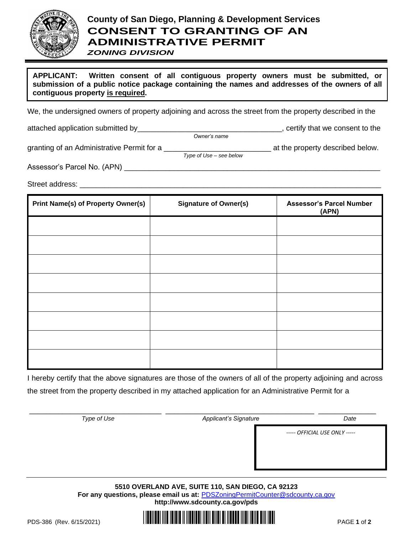

## **County of San Diego, Planning & Development Services CONSENT TO GRANTING OF AN ADMINISTRATIVE PERMIT**

*ZONING DIVISION*

**APPLICANT: Written consent of all contiguous property owners must be submitted, or submission of a public notice package containing the names and addresses of the owners of all contiguous property is required.**

We, the undersigned owners of property adjoining and across the street from the property described in the

attached application submitted by\_\_\_\_\_\_\_\_\_\_\_\_\_\_\_\_\_\_\_\_\_\_\_\_\_\_\_\_\_\_\_\_\_\_\_, certify that we consent to the

granting of an Administrative Permit for a \_\_\_\_\_\_\_\_\_\_\_\_\_\_\_\_\_\_\_\_\_\_\_\_\_\_ at the property described below.

*Type of Use – see below*

*Owner's name*

Assessor's Parcel No. (APN) \_\_\_\_\_\_\_\_\_\_\_\_\_\_\_\_\_\_\_\_\_\_\_\_\_\_\_\_\_\_\_\_\_\_\_\_\_\_\_\_\_\_\_\_\_\_\_\_\_\_\_\_\_\_\_\_\_\_\_\_\_\_

Street address: \_\_\_\_\_\_\_\_\_\_\_\_\_\_\_\_\_\_\_\_\_\_\_\_\_\_\_\_\_\_\_\_\_\_\_\_\_\_\_\_\_\_\_\_\_\_\_\_\_\_\_\_\_\_\_\_\_\_\_\_\_\_\_\_\_\_\_\_\_\_\_\_\_

| <b>Print Name(s) of Property Owner(s)</b> | <b>Signature of Owner(s)</b> | <b>Assessor's Parcel Number</b><br>(APN) |
|-------------------------------------------|------------------------------|------------------------------------------|
|                                           |                              |                                          |
|                                           |                              |                                          |
|                                           |                              |                                          |
|                                           |                              |                                          |
|                                           |                              |                                          |
|                                           |                              |                                          |
|                                           |                              |                                          |
|                                           |                              |                                          |

I hereby certify that the above signatures are those of the owners of all of the property adjoining and across the street from the property described in my attached application for an Administrative Permit for a

\_\_\_\_\_\_\_\_\_\_\_\_\_\_\_\_\_\_\_\_\_\_\_\_\_\_\_\_\_\_\_\_ \_\_\_\_\_\_\_\_\_\_\_\_\_\_\_\_\_\_\_\_\_\_\_\_\_\_\_\_\_\_\_\_\_\_\_\_ \_\_\_\_\_\_\_\_\_\_\_\_\_\_ *Type of Use Date <i>Date <i>Date Date Date Date ----- OFFICIAL USE ONLY -----*

> **5510 OVERLAND AVE, SUITE 110, SAN DIEGO, CA 92123** For any questions, please email us at: **[PDSZoningPermitCounter@sdcounty.ca.gov](mailto:PDSZoningPermitCounter@sdcounty.ca.gov) <http://www.sdcounty.ca.gov/pds>**